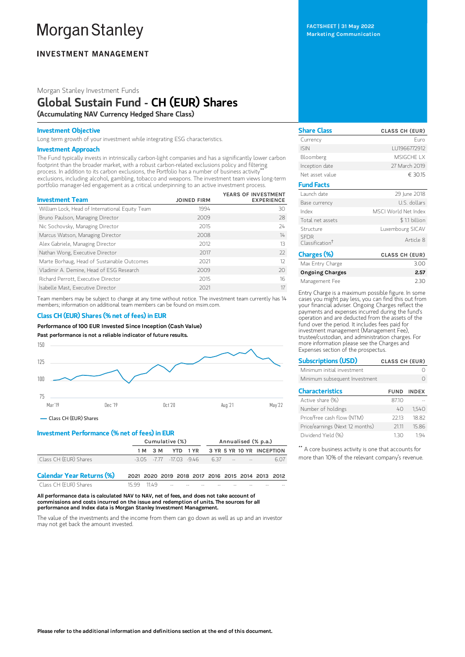# **Morgan Stanley**

# **INVESTMENT MANAGEMENT**

Morgan Stanley Investment Funds

# Global Sustain Fund - CH (EUR) Shares (Accumulating NAV Currency Hedged Share Class)

### Investment Objective

Long term growth of your investment while integrating ESG characteristics.

# Investment Approach

The Fund typically invests in intrinsically carbon-light companies and has a significantly lower carbon footprint than the broader market, with a robust carbon-related exclusions policy and filtering process. In addition to its carbon exclusions, the Portfolio has a number of business activity \*\* exclusions, including alcohol, gambling, tobacco and weapons. The investment team views long-term portfolio manager-led engagement as a critical underpinning to an active investment process.

| <b>Investment Team</b>                          | <b>JOINED FIRM</b> | YEARS OF INVESTMENT<br><b>EXPERIENCE</b> |
|-------------------------------------------------|--------------------|------------------------------------------|
|                                                 |                    |                                          |
| William Lock, Head of International Equity Team | 1994               | 30                                       |
| Bruno Paulson, Managing Director                | 2009               | 28                                       |
| Nic Sochovsky, Managing Director                | 2015               | 24                                       |
| Marcus Watson, Managing Director                | 2008               | 14                                       |
| Alex Gabriele, Managing Director                | 2012               | 13                                       |
| Nathan Wong, Executive Director                 | 2017               | $22$                                     |
| Marte Borhaug, Head of Sustainable Outcomes     | 2021               | 12                                       |
| Vladimir A. Demine, Head of ESG Research        | 2009               | 20                                       |
| Richard Perrott, Executive Director             | 2015               | 16                                       |
| Isabelle Mast, Executive Director               | 2021               | 17                                       |

Team members may be subject to change at any time without notice. The investment team currently has 14 members; information on additional team members can be found on msim.com.

# Class CH (EUR) Shares (% net of fees) in EUR

Performance of 100 EUR Invested Since Inception (Cash Value)

Past performance is not a reliable indicator of future results.



Class CH (EUR) Shares

# Investment Performance (% net of fees) in EUR

|                                  | Cumulative (%) |         |  | Annualised (% p.a.)                               |                           |  |  |  |      |
|----------------------------------|----------------|---------|--|---------------------------------------------------|---------------------------|--|--|--|------|
|                                  |                | 1 M 3 M |  | YTD 1 YR                                          | 3 YR 5 YR 10 YR INCEPTION |  |  |  |      |
| Class CH (EUR) Shares            |                |         |  | $-3.05$ $-7.77$ $-17.03$ $-9.46$                  | 637                       |  |  |  | 6.07 |
| <b>Calendar Year Returns (%)</b> |                |         |  | 2021 2020 2019 2018 2017 2016 2015 2014 2013 2012 |                           |  |  |  |      |
| Class CH (EUR) Shares            | 15, 99         | 1149    |  |                                                   |                           |  |  |  |      |

All performance data is calculated NAV to NAV, net of fees, and does not take account of commissions and costs incurred on the issue and redemption of units. The sources for all performance and Index data is Morgan Stanley Investment Management.

The value of the investments and the income from them can go down as well as up and an investor may not get back the amount invested.

FACTSHEET | 31 May 2022 Marketing Communication

| <b>Share Class</b>                         | <b>CLASS CH (EUR)</b> |
|--------------------------------------------|-----------------------|
| Currency                                   | Furo                  |
| <b>ISIN</b>                                | LU1966772912          |
| Bloomberg                                  | MSIGCHE I X           |
| Inception date                             | 27 March 2019         |
| Net asset value                            | € 30.15               |
| <b>Fund Facts</b>                          |                       |
| Launch date                                | 29 June 2018          |
| Base currency                              | U.S. dollars          |
| Index                                      | MSCI World Net Index  |
| Total net assets                           | \$1.1 billion         |
| Structure                                  | Luxembourg SICAV      |
| <b>SEDR</b><br>Classification <sup>+</sup> | Article 8             |
| Charges (%)                                | <b>CLASS CH (EUR)</b> |
| Max Entry Charge                           | 3.00                  |
|                                            |                       |

Ongoing Charges 2.57 Management Fee 2.30

Entry Charge is a maximum possible figure. In some cases you might pay less, you can find this out from your financial adviser. Ongoing Charges reflect the payments and expenses incurred during the fund's operation and are deducted from the assets of the fund over the period. It includes fees paid for investment management (Management Fee), trustee/custodian, and administration charges. For more information please see the Charges and Expenses section of the prospectus.

| <b>Subscriptions (USD)</b>      | <b>CLASS CH (EUR)</b> |                   |
|---------------------------------|-----------------------|-------------------|
| Minimum initial investment      |                       |                   |
| Minimum subsequent Investment   |                       |                   |
| <b>Characteristics</b>          |                       | <b>FUND INDEX</b> |
| Active share (%)                | 87.10                 |                   |
| Number of holdings              | 40                    | 1,540             |
| Price/free cash flow (NTM)      | 2213                  | 18.82             |
| Price/earnings (Next 12 months) | 2111                  | 15.86             |
| Dividend Yield (%)              | 130                   | 194               |

\*\* A core business activity is one that accounts for more than 10% of the relevant company's revenue.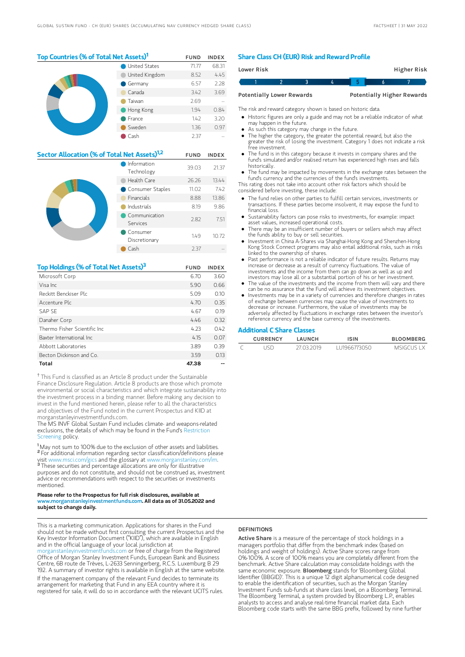## Top Countries (% of Total Net Assets)<sup>1</sup> FUND INDEX United States 71.77 68.31

|  | United Kingdom | 8.52 | 4.45 |
|--|----------------|------|------|
|  | Germany        | 6.57 | 2.28 |
|  | Canada         | 3.42 | 3.69 |
|  | Taiwan         | 2.69 |      |
|  | Hong Kong      | 1.94 | 0.84 |
|  | France         | 1.42 | 3.20 |
|  | Sweden         | 1.36 | 0.97 |
|  | Cash           | 2.37 |      |

| Sector Allocation (% of Total Net Assets) <sup>1,2</sup> | <b>FUND</b>                                                   | <b>INDEX</b> |       |
|----------------------------------------------------------|---------------------------------------------------------------|--------------|-------|
|                                                          | Information<br>Technology                                     | 39.03        | 21.37 |
|                                                          | Health Care                                                   | 26.26        | 13.44 |
|                                                          | Consumer Staples                                              | 11.02        | 7.42  |
|                                                          | <b>Financials</b><br>Industrials<br>Communication<br>Services |              | 13.86 |
|                                                          |                                                               |              | 9.86  |
|                                                          |                                                               |              | 7.51  |
|                                                          | Consumer<br>Discretionary                                     | 1.49         | 10.72 |
|                                                          | Cash                                                          | 2.37         |       |

| Top Holdings (% of Total Net Assets) <sup>3</sup> | <b>FUND</b> | <b>INDEX</b> |
|---------------------------------------------------|-------------|--------------|
| Microsoft Corp                                    | 6.70        | 3.60         |
| Visa Inc.                                         | 5.90        | 0.66         |
| Reckitt Benckiser Plc                             | 5.09        | 0.10         |
| Accenture Plc                                     | 4.70        | 0.35         |
| SAP SF                                            | 4.67        | 0.19         |
| Danaher Corp                                      | 4.46        | 0.32         |
| Thermo Fisher Scientific Inc.                     | 4.23        | 042          |
| Baxter International Inc.                         | 4.15        | 0.07         |
| Abbott Laboratories                               | 3.89        | 0.39         |
| Becton Dickinson and Co.                          | 3.59        | 013          |
| Total                                             | 47.38       |              |

<sup>†</sup> This Fund is classified as an Article 8 product under the Sustainable Finance Disclosure Regulation. Article 8 products are those which promote environmental or social characteristics and which integrate sustainability into the investment process in a binding manner. Before making any decision to invest in the fund mentioned herein, please refer to all the characteristics and objectives of the Fund noted in the current Prospectus and KIID at morganstanleyinvestmentfunds.com.

The MS INVF Global Sustain Fund includes climate- and weapons-related [exclusions,](https://www.morganstanley.com/im/publication/msinvf/material/rsp_msinvf_msfundsuk_global_sustain_en.pdf?1654719758586) the details of which may be found in the Fund's Restriction Screening policy.

<sup>1</sup>May not sum to 100% due to the exclusion of other assets and liabilities. For additional information regarding sector classification/definitions please visit www.msci.com/gics and the glossary at www.morganstanley.com/im. These securities and percentage allocations are only for illustrative purposes and do not constitute, and should not be construed as, investment advice or recommendations with respect to the securities or investments mentioned. 2 p 37

#### Please refer to the Prospectus for full risk disclosures, available at www.morganstanleyinvestmentfunds.com. All data as of 31.05.2022 and subject to change daily.

This is a marketing communication. Applications for shares in the Fund should not be made without first consulting the current Prospectus and the Key Investor Information Document ("KIID"), which are available in English and in the official language of your local jurisdiction at [morganstanleyinvestmentfunds.com](https://www.morganstanley.com/im/msinvf/index.html) or free of charge from the Registered Office of Morgan Stanley Investment Funds, European Bank and Business Centre, 6B route de Trèves, L-2633 Senningerberg, R.C.S. Luxemburg B 29 192. A summary of investor rights is available in English at the same website. If the management company of the relevant Fund decides to terminate its arrangement for marketing that Fund in any EEA country where it is registered for sale, it will do so in accordance with the relevant UCITS rules.

## Share Class CH (EUR) Risk and Reward Profile

| Lower Risk |                                  |  |  | Higher Risk                       |  |
|------------|----------------------------------|--|--|-----------------------------------|--|
|            |                                  |  |  |                                   |  |
|            | <b>Potentially Lower Rewards</b> |  |  | <b>Potentially Higher Rewards</b> |  |

The risk and reward category shown is based on historic data.

Historic figures are only a guide and may not be a reliable indicator of what

- may happen in the future.
- As such this category may change in the future.
- The higher the category, the greater the potential reward, but also the greater the risk of losing the investment. Category 1 does not indicate a risk free investment.
- The fund is in this category because it invests in company shares and the fund's simulated and/or realised return has experienced high rises and falls historically.
- The fund may be impacted by movements in the exchange rates between the fund's currency and the currencies of the fund's investments.

This rating does not take into account other risk factors which should be considered before investing, these include:

- The fund relies on other parties to fulfill certain services, investments or transactions. If these parties become insolvent, it may expose the fund to financial loss.
- Sustainability factors can pose risks to investments, for example: impact asset values, increased operational costs.
- There may be an insufficient number of buyers or sellers which may affect the funds ability to buy or sell securities.
- Investment in China A-Shares via Shanghai-Hong Kong and Shenzhen-Hong Kong Stock Connect programs may also entail additional risks, such as risks linked to the ownership of shares.
- Past performance is not a reliable indicator of future results. Returns may increase or decrease as a result of currency fluctuations. The value of investments and the income from them can go down as well as up and investors may lose all or a substantial portion of his or her investment.
- The value of the investments and the income from them will vary and there can be no assurance that the Fund will achieve its investment objectives.
- Investments may be in a variety of currencies and therefore changes in rates of exchange between currencies may cause the value of investments to decrease or increase. Furthermore, the value of investments may be adversely affected by fluctuations in exchange rates between the investor's reference currency and the base currency of the investments.

#### Additional C Share Classes

| <b>CURRENCY</b> | LAUNCH     | ISIN         | <b>BLOOMBERG</b> |
|-----------------|------------|--------------|------------------|
| <b>ISD</b>      | 27 03 2019 | 111966773050 | MSIGCUS LX       |

#### **DEFINITIONS**

Active Share is a measure of the percentage of stock holdings in a managers portfolio that differ from the benchmark index (based on holdings and weight of holdings). Active Share scores range from 0%-100%. A score of 100% means you are completely different from the benchmark. Active Share calculation may consolidate holdings with the same economic exposure. Bloomberg stands for 'Bloomberg Global Identifier (BBGID)'. This is a unique 12 digit alphanumerical code designed to enable the identification of securities, such as the Morgan Stanley Investment Funds sub-funds at share class level, on a Bloomberg Terminal. The Bloomberg Terminal, a system provided by Bloomberg L.P., enables analysts to access and analyse real-time financial market data. Each Bloomberg code starts with the same BBG prefix, followed by nine further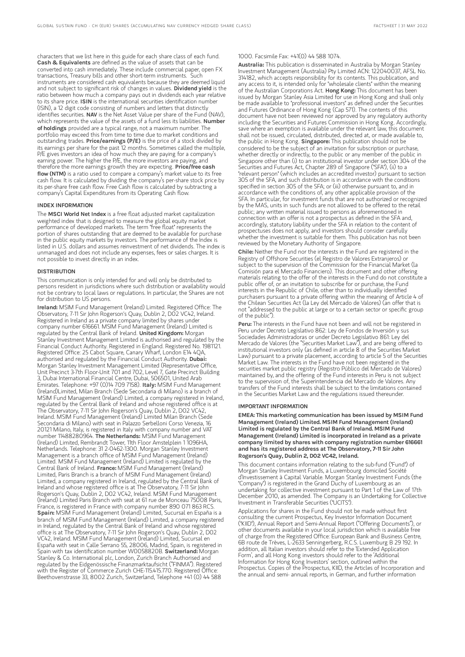characters that we list here in this guide for each share class of each fund. Cash & Equivalents are defined as the value of assets that can be converted into cash immediately. These include commercial paper, open FX transactions, Treasury bills and other short-term instruments. Such instruments are considered cash equivalents because they are deemed liquid and not subject to significant risk of changes in values. Dividend yield is the ratio between how much a company pays out in dividends each year relative to its share price. ISIN is the international securities identification number (ISIN), a 12 digit code consisting of numbers and letters that distinctly<br>identifies securities. **NAV** is the Net Asset Value per share of the Fund (NAV), which represents the value of the assets of a fund less its liabilities. Number of holdings provided are a typical range, not a maximum number. The portfolio may exceed this from time to time due to market conditions and outstanding trades. Price/earnings (P/E) is the price of a stock divided by its earnings per share for the past 12 months. Sometimes called the multiple, P/E gives investors an idea of how much they are paying for a company's earning power. The higher the P/E, the more investors are paying, and therefore the more earnings growth they are expecting. **Price/free cash** flow (NTM) is a ratio used to compare a company's market value to its free cash flow. It is calculated by dividing the company's per-share stock price by its per-share free cash flow. Free Cash flow is calculated by subtracting a company's Capital Expenditures from its Operating Cash flow.

#### INDEX INFORMATION

The MSCI World Net Index is a free float adjusted market capitalization weighted index that is designed to measure the global equity market performance of developed markets. The term "free float" represents the portion of shares outstanding that are deemed to be available for purchase in the public equity markets by investors. The performance of the Index is listed in U.S. dollars and assumes reinvestment of net dividends. The index is unmanaged and does not include any expenses, fees or sales charges. It is not possible to invest directly in an index.

#### **DISTRIBUTION**

This communication is only intended for and will only be distributed to persons resident in jurisdictions where such distribution or availability would not be contrary to local laws or regulations. In particular, the Shares are not for distribution to US persons.

Ireland: MSIM Fund Management (Ireland) Limited. Registered Office: The Observatory, 7-11 Sir John Rogerson's Quay, Dublin 2, D02 VC42, Ireland. Registered in Ireland as a private company limited by shares under company number 616661. MSIM Fund Management (Ireland) Limited is regulated by the Central Bank of Ireland. United Kingdom: Morgan Stanley Investment Management Limited is authorised and regulated by the Financial Conduct Authority. Registered in England. Registered No. 1981121. Registered Office: 25 Cabot Square, Canary Wharf, London E14 4QA, authorised and regulated by the Financial Conduct Authority. Dubai: Morgan Stanley Investment Management Limited (Representative Office, Unit Precinct 3-7th Floor-Unit 701 and 702, Level 7, Gate Precinct Building 3, Dubai International Financial Centre, Dubai, 506501, United Arab Emirates. Telephone: +97 (0)14 709 7158). Italy: MSIM Fund Management (Ireland)Limited, Milan Branch (Sede Secondaria di Milano) is a branch of MSIM Fund Management (Ireland) Limited, a company registered in Ireland, regulated by the Central Bank of Ireland and whose registered office is at The Observatory, 7-11 Sir John Rogerson's Quay, Dublin 2, D02 VC42, Ireland. MSIM Fund Management (Ireland) Limited Milan Branch (Sede Secondaria di Milano) with seat in Palazzo Serbelloni Corso Venezia, 16 20121 Milano, Italy, is registered in Italy with company number and VAT number 11488280964. The Netherlands: MSIM Fund Management (Ireland) Limited, Rembrandt Tower, 11th Floor Amstelplein 1 1096HA, Netherlands. Telephone: 31 2-0462-1300. Morgan Stanley Investment Management is a branch office of MSIM Fund Management (Ireland) Limited. MSIM Fund Management (Ireland) Limited is regulated by the Central Bank of Ireland. France: MSIM Fund Management (Ireland) Limited, Paris Branch is a branch of MSIM Fund Management (Ireland) Limited, a company registered in Ireland, regulated by the Central Bank of Ireland and whose registered office is at The Observatory, 7-11 Sir John Rogerson's Quay, Dublin 2, D02 VC42, Ireland. MSIM Fund Management (Ireland) Limited Paris Branch with seat at 61 rue de Monceau 75008 Paris, France, is registered in France with company number 890 071 863 RCS. Spain: MSIM Fund Management (Ireland) Limited, Sucursal en España is a branch of MSIM Fund Management (Ireland) Limited, a company registered in Ireland, regulated by the Central Bank of Ireland and whose registered office is at The Observatory, 7-11 Sir John Rogerson's Quay, Dublin 2, D02 VC42, Ireland. MSIM Fund Management (Ireland) Limited, Sucursal en España with seat in Calle Serrano 55, 28006, Madrid, Spain, is registered in Spain with tax identification number W0058820B. Switzerland: Morgan Stanley & Co. International plc, London, Zurich Branch Authorised and regulated by the Eidgenössische Finanzmarktaufsicht ("FINMA"). Registered with the Register of Commerce Zurich CHE-115.415.770. Registered Office: Beethovenstrasse 33, 8002 Zurich, Switzerland, Telephone +41 (0) 44 588

#### 1000. Facsimile Fax: +41(0) 44 588 1074.

Australia: This publication is disseminated in Australia by Morgan Stanley Investment Management (Australia) Pty Limited ACN: 122040037, AFSL No. 314182, which accepts responsibility for its contents. This publication, and any access to it, is intended only for "wholesale clients" within the meaning of the Australian Corporations Act. Hong Kong: This document has been issued by Morgan Stanley Asia Limited for use in Hong Kong and shall only be made available to "professional investors" as defined under the Securities and Futures Ordinance of Hong Kong (Cap 571). The contents of this document have not been reviewed nor approved by any regulatory authority including the Securities and Futures Commission in Hong Kong. Accordingly, save where an exemption is available under the relevant law, this document shall not be issued, circulated, distributed, directed at, or made available to, the public in Hong Kong. Singapore: This publication should not be considered to be the subject of an invitation for subscription or purchase, whether directly or indirectly, to the public or any member of the public in Singapore other than (i) to an institutional investor under section 304 of the Securities and Futures Act, Chapter 289 of Singapore ("SFA"), (ii) to a "relevant person" (which includes an accredited investor) pursuant to section 305 of the SFA, and such distribution is in accordance with the conditions specified in section 305 of the SFA; or (iii) otherwise pursuant to, and in accordance with the conditions of, any other applicable provision of the SFA. In particular, for investment funds that are not authorized or recognized by the MAS, units in such funds are not allowed to be offered to the retail public; any written material issued to persons as aforementioned in connection with an offer is not a prospectus as defined in the SFA and, accordingly, statutory liability under the SFA in relation to the content of prospectuses does not apply, and investors should consider carefully prospectates abesited the repriction of them. This publication has not been reviewed by the Monetary Authority of Singapore.

Chile: Neither the Fund nor the interests in the Fund are registered in the Registry of Offshore Securities (el Registro de Valores Extranjeros) or subject to the supervision of the Commission for the Financial Market (la Comisión para el Mercado Financiero). This document and other offering materials relating to the offer of the interests in the Fund do not constitute a public offer of, or an invitation to subscribe for or purchase, the Fund interests in the Republic of Chile, other than to individually identified purchasers pursuant to a private offering within the meaning of Article 4 of the Chilean Securities Act (la Ley del Mercado de Valores) (an offer that is not "addressed to the public at large or to a certain sector or specific group of the public").

Peru: The interests in the Fund have not been and will not be registered in Peru under Decreto Legislativo 862: Ley de Fondos de Inversión y sus Sociedades Administradoras or under Decreto Legislativo 861: Ley del Mercado de Valores (the "Securities Market Law"), and are being offered to institutional investors only (as defined in article 8 of the Securities Market Law) pursuant to a private placement, according to article 5 of the Securities Market Law. The interests in the Fund have not been registered in the securities market public registry (Registro Público del Mercado de Valores) maintained by, and the offering of the Fund interests in Peru is not subject to the supervision of, the Superintendencia del Mercado de Valores. Any transfers of the Fund interests shall be subject to the limitations contained in the Securities Market Law and the regulations issued thereunder.

#### IMPORTANT INFORMATION

EMEA: This marketing communication has been issued by MSIM Fund Management (Ireland) Limited. MSIM Fund Management (Ireland) Limited is regulated by the Central Bank of Ireland. MSIM Fund Management (Ireland) Limited is incorporated in Ireland as a private company limited by shares with company registration number 616661 and has its registered address at The Observatory, 7-11 Sir John Rogerson's Quay, Dublin 2, D02 VC42, Ireland.

This document contains information relating to the sub-fund ("Fund") of Morgan Stanley Investment Funds, a Luxembourg domiciled Société d'Investissement à Capital Variable. Morgan Stanley Investment Funds (the "Company") is registered in the Grand Duchy of Luxembourg as an undertaking for collective investment pursuant to Part 1 of the Law of 17th December 2010, as amended. The Company is an Undertaking for Collective Investment in Transferable Securities ("UCITS").

Applications for shares in the Fund should not be made without first consulting the current Prospectus, Key Investor Information Document ("KIID"), Annual Report and Semi-Annual Report ("Offering Documents"), or other documents available in your local jurisdiction which is available free of charge from the Registered Office: European Bank and Business Centre, 6B route de Trèves, L-2633 Senningerberg, R.C.S. Luxemburg B 29 192. In addition, all Italian investors should refer to the 'Extended Application Form', and all Hong Kong investors should refer to the 'Additional Information for Hong Kong Investors' section, outlined within the Prospectus. Copies of the Prospectus, KIID, the Articles of Incorporation and the annual and semi- annual reports, in German, and further information